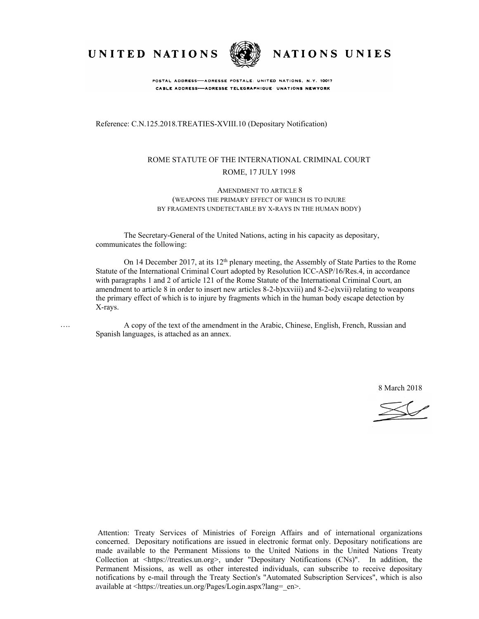

….



NATIONS UNIES

POSTAL ADDRESS-ADRESSE POSTALE: UNITED NATIONS, N.Y. 10017 CABLE ADDRESS-ADRESSE TELEGRAPHIQUE UNATIONS NEWYORK

Reference: C.N.125.2018.TREATIES-XVIII.10 (Depositary Notification)

#### ROME STATUTE OF THE INTERNATIONAL CRIMINAL COURT ROME, 17 JULY 1998

#### AMENDMENT TO ARTICLE 8 (WEAPONS THE PRIMARY EFFECT OF WHICH IS TO INJURE BY FRAGMENTS UNDETECTABLE BY X-RAYS IN THE HUMAN BODY)

The Secretary-General of the United Nations, acting in his capacity as depositary, communicates the following:

On 14 December 2017, at its 12<sup>th</sup> plenary meeting, the Assembly of State Parties to the Rome Statute of the International Criminal Court adopted by Resolution ICC-ASP/16/Res.4, in accordance with paragraphs 1 and 2 of article 121 of the Rome Statute of the International Criminal Court, an amendment to article 8 in order to insert new articles 8-2-b)xxviii) and 8-2-e)xvii) relating to weapons the primary effect of which is to injure by fragments which in the human body escape detection by X-rays.

A copy of the text of the amendment in the Arabic, Chinese, English, French, Russian and Spanish languages, is attached as an annex.

8 March 2018

Attention: Treaty Services of Ministries of Foreign Affairs and of international organizations concerned. Depositary notifications are issued in electronic format only. Depositary notifications are made available to the Permanent Missions to the United Nations in the United Nations Treaty Collection at <https://treaties.un.org>, under "Depositary Notifications (CNs)". In addition, the Permanent Missions, as well as other interested individuals, can subscribe to receive depositary notifications by e-mail through the Treaty Section's "Automated Subscription Services", which is also available at <https://treaties.un.org/Pages/Login.aspx?lang=\_en>.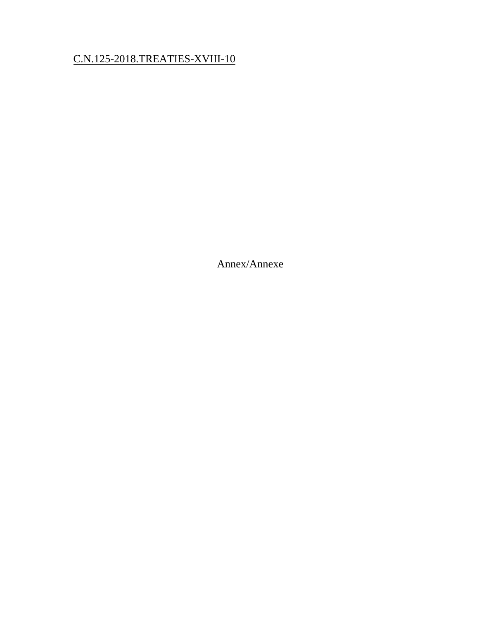# C.N.125-2018.TREATIES-XVIII-10

Annex/Annexe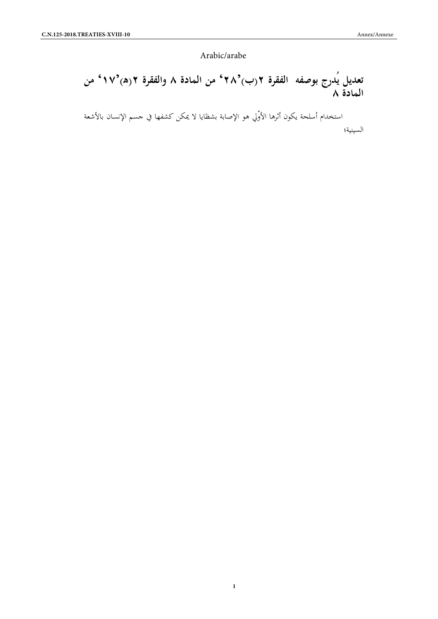Arabic/arabe

Arabic/arabe<br>**تعديل يُدرج بوصفه الفقرة ٢(ب)<sup>2</sup>/ ٢<sup>0</sup> من المادة ٨ والفقرة ٢(ه)<sup>2</sup>/ من<br>ا<b>لمادة ٨**<br>استخدام أسلحة يكون أثرها الأوّلى هو الإصابة بشظايا لا يمكن كشفها فى حسم الإنسان بالأشعة<br>استخدام أسلحة يكون أثرها الأوّلى هو ا **المادة ٨**

استخدام أسلحة يكون أثرها الأوّلي هو الإصابة بشظايا لا يمكن كشفها في جسم الإنسان بالأشعة السينية؛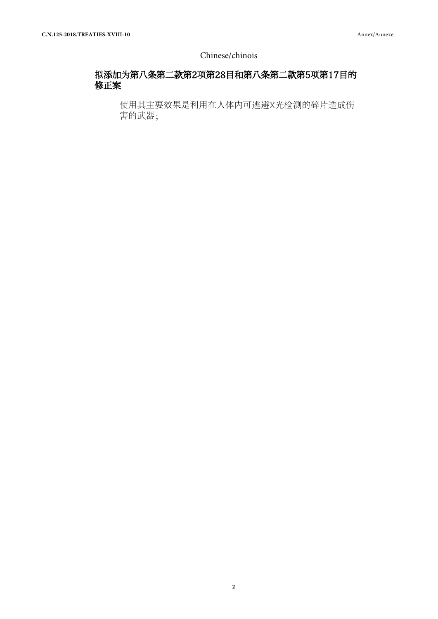#### Chinese/chinois

## 拟添加为第八条第二款第2项第28目和第八条第二款第5项第17目的 修正案

使用其主要效果是利用在人体内可逃避X光检测的碎片造成伤 害的武器;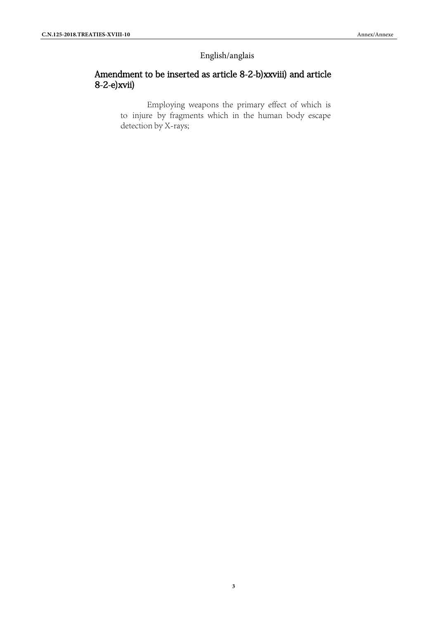## English/anglais

## Amendment to be inserted as article 8-2-b)xxviii) and article 8-2-e)xvii)

Employing weapons the primary effect of which is to injure by fragments which in the human body escape detection by X-rays;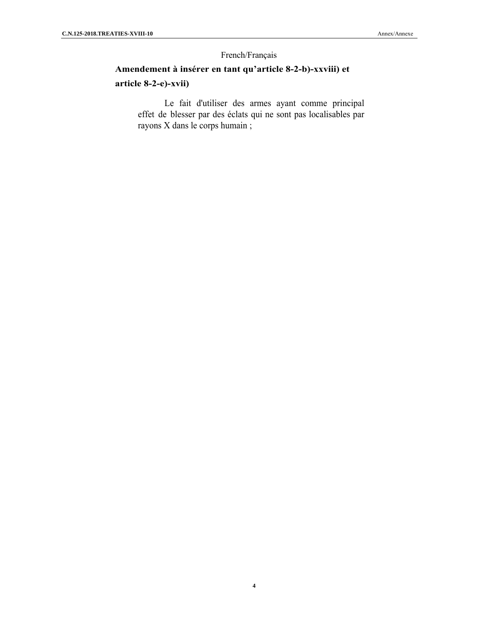#### French/Français

# **Amendement à insérer en tant qu'article 8-2-b)-xxviii) et article 8-2-e)-xvii)**

Le fait d'utiliser des armes ayant comme principal effet de blesser par des éclats qui ne sont pas localisables par rayons X dans le corps humain ;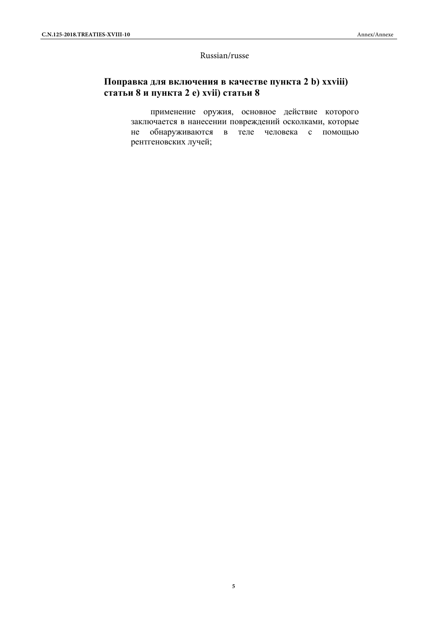#### Russian/russe

## **Поправка для включения в качестве пункта 2 b) xxviii) статьи 8 и пункта 2 e) xvii) статьи 8**

применение оружия, основное действие которого заключается в нанесении повреждений осколками, которые не обнаруживаются в теле человека с помощью рентгеновских лучей;